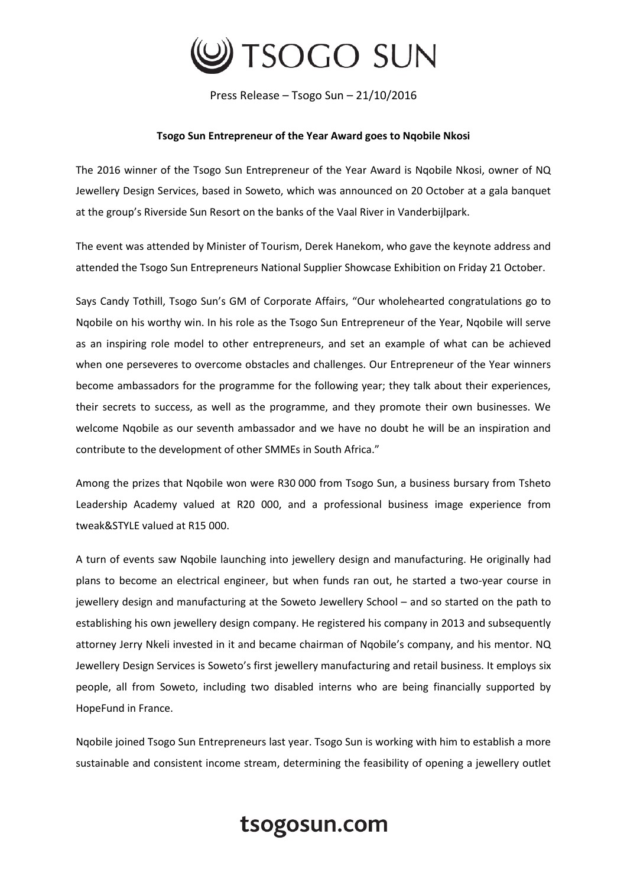

Press Release – Tsogo Sun – 21/10/2016

### **Tsogo Sun Entrepreneur of the Year Award goes to Nqobile Nkosi**

The 2016 winner of the Tsogo Sun Entrepreneur of the Year Award is Nqobile Nkosi, owner of NQ Jewellery Design Services, based in Soweto, which was announced on 20 October at a gala banquet at the group's Riverside Sun Resort on the banks of the Vaal River in Vanderbijlpark.

The event was attended by Minister of Tourism, Derek Hanekom, who gave the keynote address and attended the Tsogo Sun Entrepreneurs National Supplier Showcase Exhibition on Friday 21 October.

Says Candy Tothill, Tsogo Sun's GM of Corporate Affairs, "Our wholehearted congratulations go to Nqobile on his worthy win. In his role as the Tsogo Sun Entrepreneur of the Year, Nqobile will serve as an inspiring role model to other entrepreneurs, and set an example of what can be achieved when one perseveres to overcome obstacles and challenges. Our Entrepreneur of the Year winners become ambassadors for the programme for the following year; they talk about their experiences, their secrets to success, as well as the programme, and they promote their own businesses. We welcome Nqobile as our seventh ambassador and we have no doubt he will be an inspiration and contribute to the development of other SMMEs in South Africa."

Among the prizes that Nqobile won were R30 000 from Tsogo Sun, a business bursary from Tsheto Leadership Academy valued at R20 000, and a professional business image experience from tweak&STYLE valued at R15 000.

A turn of events saw Nqobile launching into jewellery design and manufacturing. He originally had plans to become an electrical engineer, but when funds ran out, he started a two-year course in jewellery design and manufacturing at the Soweto Jewellery School – and so started on the path to establishing his own jewellery design company. He registered his company in 2013 and subsequently attorney Jerry Nkeli invested in it and became chairman of Nqobile's company, and his mentor. NQ Jewellery Design Services is Soweto's first jewellery manufacturing and retail business. It employs six people, all from Soweto, including two disabled interns who are being financially supported by HopeFund in France.

Nqobile joined Tsogo Sun Entrepreneurs last year. Tsogo Sun is working with him to establish a more sustainable and consistent income stream, determining the feasibility of opening a jewellery outlet

# tsogosun.com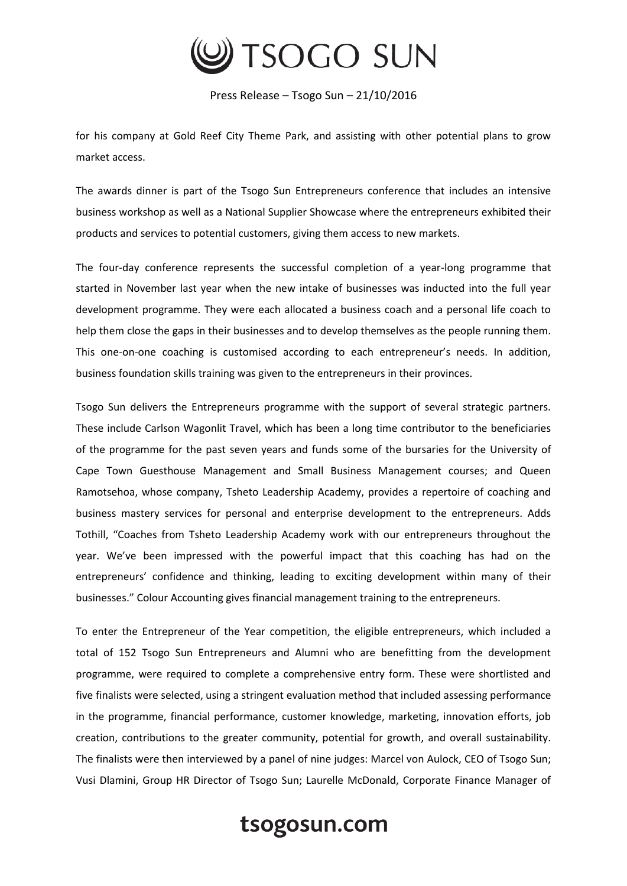

Press Release – Tsogo Sun – 21/10/2016

for his company at Gold Reef City Theme Park, and assisting with other potential plans to grow market access.

The awards dinner is part of the Tsogo Sun Entrepreneurs conference that includes an intensive business workshop as well as a National Supplier Showcase where the entrepreneurs exhibited their products and services to potential customers, giving them access to new markets.

The four-day conference represents the successful completion of a year-long programme that started in November last year when the new intake of businesses was inducted into the full year development programme. They were each allocated a business coach and a personal life coach to help them close the gaps in their businesses and to develop themselves as the people running them. This one-on-one coaching is customised according to each entrepreneur's needs. In addition, business foundation skills training was given to the entrepreneurs in their provinces.

Tsogo Sun delivers the Entrepreneurs programme with the support of several strategic partners. These include Carlson Wagonlit Travel, which has been a long time contributor to the beneficiaries of the programme for the past seven years and funds some of the bursaries for the University of Cape Town Guesthouse Management and Small Business Management courses; and Queen Ramotsehoa, whose company, Tsheto Leadership Academy, provides a repertoire of coaching and business mastery services for personal and enterprise development to the entrepreneurs. Adds Tothill, "Coaches from Tsheto Leadership Academy work with our entrepreneurs throughout the year. We've been impressed with the powerful impact that this coaching has had on the entrepreneurs' confidence and thinking, leading to exciting development within many of their businesses." Colour Accounting gives financial management training to the entrepreneurs.

To enter the Entrepreneur of the Year competition, the eligible entrepreneurs, which included a total of 152 Tsogo Sun Entrepreneurs and Alumni who are benefitting from the development programme, were required to complete a comprehensive entry form. These were shortlisted and five finalists were selected, using a stringent evaluation method that included assessing performance in the programme, financial performance, customer knowledge, marketing, innovation efforts, job creation, contributions to the greater community, potential for growth, and overall sustainability. The finalists were then interviewed by a panel of nine judges: Marcel von Aulock, CEO of Tsogo Sun; Vusi Dlamini, Group HR Director of Tsogo Sun; Laurelle McDonald, Corporate Finance Manager of

## tsogosun.com